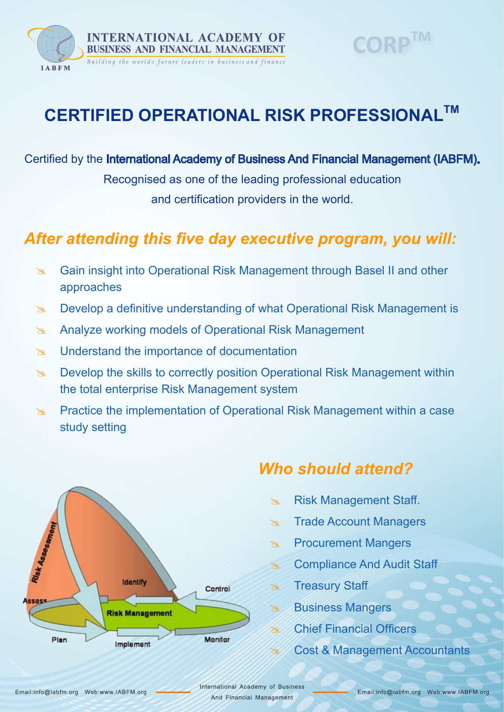

# **CORPTM**

# **CERTIFIED OPERATIONAL RISK PROFESSIONALTM**

Certified by the International Academy of Business And Financial Management (IABFM).

Recognised as one of the leading professional education and certification providers in the world.

### *After attending this five day executive program, you will:*

- **8 Gain insight into Operational Risk Management through Basel II and other** approaches
- $\infty$  Develop a definitive understanding of what Operational Risk Management is
- **Analyze working models of Operational Risk Management**
- $\approx$  Understand the importance of documentation
- $\approx$  Develop the skills to correctly position Operational Risk Management within the total enterprise Risk Management system
- $\approx$  Practice the implementation of Operational Risk Management within a case study setting



### *Who should attend?*

- **EXALDE Risk Management Staff.**
- **Exald Trade Account Managers**
- **EX Procurement Mangers**
- **& Compliance And Audit Staff**
- **Exted Treasury Staff**
- **Business Mangers**
- $\sim$  Chief Financial Officers
- **8 Cost & Management Accountants**